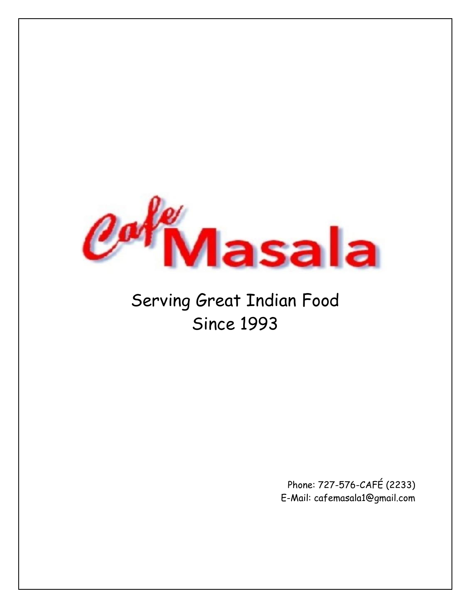

# Serving Great Indian Food Since 1993

Phone: 727-576-CAFÉ (2233) E-Mail: cafemasala1@gmail.com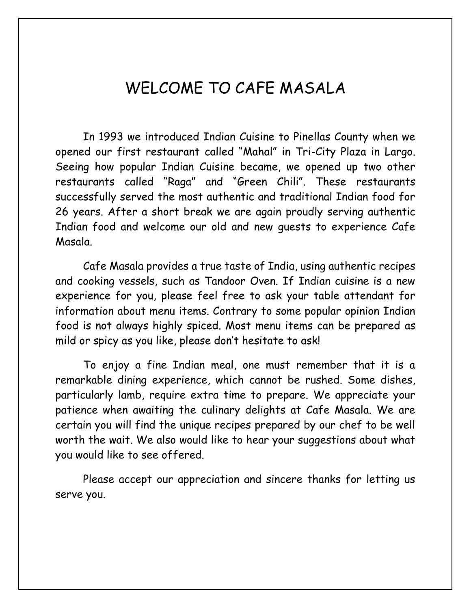#### WELCOME TO CAFE MASALA

In 1993 we introduced Indian Cuisine to Pinellas County when we opened our first restaurant called "Mahal" in Tri-City Plaza in Largo. Seeing how popular Indian Cuisine became, we opened up two other restaurants called "Raga" and "Green Chili". These restaurants successfully served the most authentic and traditional Indian food for 26 years. After a short break we are again proudly serving authentic Indian food and welcome our old and new guests to experience Cafe Masala.

Cafe Masala provides a true taste of India, using authentic recipes and cooking vessels, such as Tandoor Oven. If Indian cuisine is a new experience for you, please feel free to ask your table attendant for information about menu items. Contrary to some popular opinion Indian food is not always highly spiced. Most menu items can be prepared as mild or spicy as you like, please don't hesitate to ask!

To enjoy a fine Indian meal, one must remember that it is a remarkable dining experience, which cannot be rushed. Some dishes, particularly lamb, require extra time to prepare. We appreciate your patience when awaiting the culinary delights at Cafe Masala. We are certain you will find the unique recipes prepared by our chef to be well worth the wait. We also would like to hear your suggestions about what you would like to see offered.

Please accept our appreciation and sincere thanks for letting us serve you.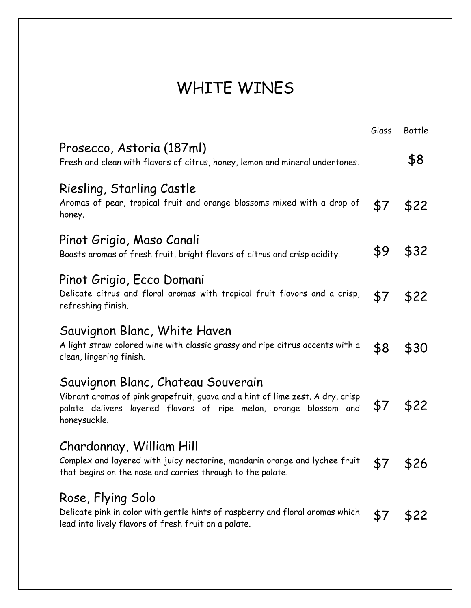# WHITE WINES

|                                                                                                                                                                                                           | Glass | Bottle |
|-----------------------------------------------------------------------------------------------------------------------------------------------------------------------------------------------------------|-------|--------|
| Prosecco, Astoria (187ml)<br>Fresh and clean with flavors of citrus, honey, lemon and mineral undertones.                                                                                                 |       | \$8    |
| Riesling, Starling Castle<br>Aromas of pear, tropical fruit and orange blossoms mixed with a drop of<br>honey.                                                                                            | \$7   | \$22   |
| Pinot Grigio, Maso Canali<br>Boasts aromas of fresh fruit, bright flavors of citrus and crisp acidity.                                                                                                    | \$9   | \$32   |
| Pinot Grigio, Ecco Domani<br>Delicate citrus and floral aromas with tropical fruit flavors and a crisp,<br>refreshing finish.                                                                             | \$7   | \$22   |
| Sauvignon Blanc, White Haven<br>A light straw colored wine with classic grassy and ripe citrus accents with a<br>clean, lingering finish.                                                                 | \$8   | \$30   |
| Sauvignon Blanc, Chateau Souverain<br>Vibrant aromas of pink grapefruit, guava and a hint of lime zest. A dry, crisp<br>palate delivers layered flavors of ripe melon, orange blossom and<br>honeysuckle. | \$7   | \$22   |
| Chardonnay, William Hill<br>Complex and layered with juicy nectarine, mandarin orange and lychee fruit<br>that begins on the nose and carries through to the palate.                                      | \$7   | \$26   |
| Rose, Flying Solo<br>Delicate pink in color with gentle hints of raspberry and floral aromas which<br>lead into lively flavors of fresh fruit on a palate.                                                | \$7   | \$22   |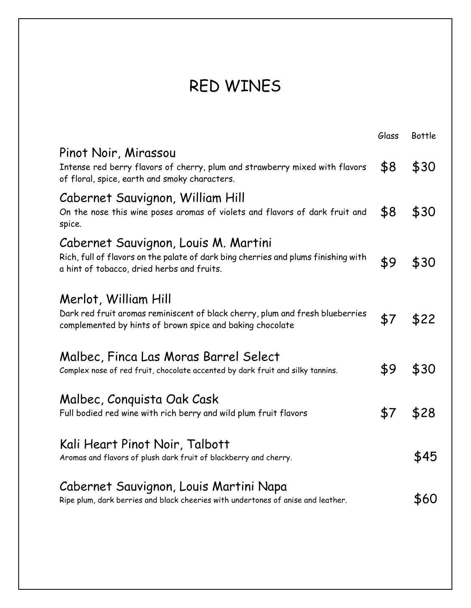# RED WINES

|                                                                                                                                                                          | Glass | <b>Bottle</b> |
|--------------------------------------------------------------------------------------------------------------------------------------------------------------------------|-------|---------------|
| Pinot Noir, Mirassou<br>Intense red berry flavors of cherry, plum and strawberry mixed with flavors<br>of floral, spice, earth and smoky characters.                     | \$8   | \$30          |
| Cabernet Sauvignon, William Hill<br>On the nose this wine poses aromas of violets and flavors of dark fruit and<br>spice.                                                | \$8   | \$30          |
| Cabernet Sauvignon, Louis M. Martini<br>Rich, full of flavors on the palate of dark bing cherries and plums finishing with<br>a hint of tobacco, dried herbs and fruits. | \$9   | \$30          |
| Merlot, William Hill<br>Dark red fruit aromas reminiscent of black cherry, plum and fresh blueberries<br>complemented by hints of brown spice and baking chocolate       | \$7   | \$22          |
| Malbec, Finca Las Moras Barrel Select<br>Complex nose of red fruit, chocolate accented by dark fruit and silky tannins.                                                  | \$9   | \$30          |
| Malbec, Conquista Oak Cask<br>Full bodied red wine with rich berry and wild plum fruit flavors                                                                           | \$7   | \$28          |
| Kali Heart Pinot Noir, Talbott<br>Aromas and flavors of plush dark fruit of blackberry and cherry.                                                                       |       | \$45          |
| Cabernet Sauvignon, Louis Martini Napa<br>Ripe plum, dark berries and black cheeries with undertones of anise and leather.                                               |       | \$60          |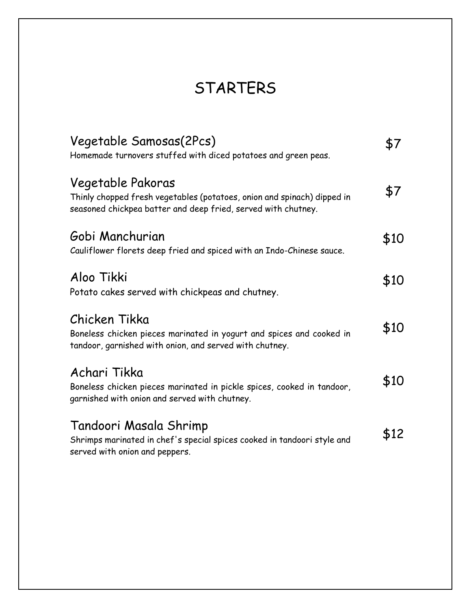# STARTERS

| Vegetable Samosas(2Pcs)<br>Homemade turnovers stuffed with diced potatoes and green peas.                                                                     |      |
|---------------------------------------------------------------------------------------------------------------------------------------------------------------|------|
| Vegetable Pakoras<br>Thinly chopped fresh vegetables (potatoes, onion and spinach) dipped in<br>seasoned chickpea batter and deep fried, served with chutney. | \$7  |
| Gobi Manchurian<br>Cauliflower florets deep fried and spiced with an Indo-Chinese sauce.                                                                      | \$10 |
| Aloo Tikki<br>Potato cakes served with chickpeas and chutney.                                                                                                 | \$10 |
| Chicken Tikka<br>Boneless chicken pieces marinated in yogurt and spices and cooked in<br>tandoor, garnished with onion, and served with chutney.              | \$10 |
| Achari Tikka<br>Boneless chicken pieces marinated in pickle spices, cooked in tandoor,<br>garnished with onion and served with chutney.                       | \$10 |
| Tandoori Masala Shrimp<br>Shrimps marinated in chef's special spices cooked in tandoori style and<br>served with onion and peppers.                           | \$12 |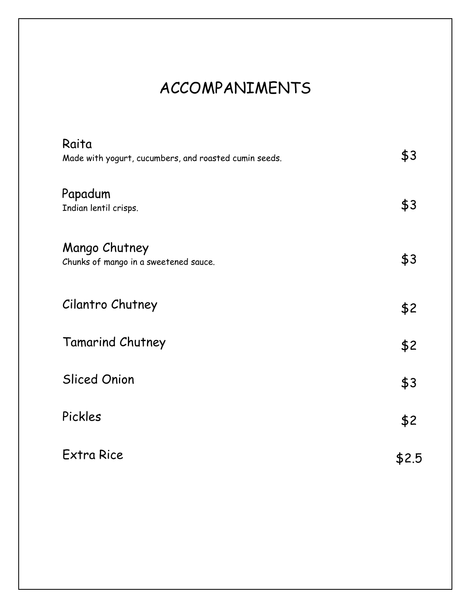# ACCOMPANIMENTS

| Raita<br>Made with yogurt, cucumbers, and roasted cumin seeds. | \$3   |
|----------------------------------------------------------------|-------|
| Papadum<br>Indian lentil crisps.                               | \$3   |
| Mango Chutney<br>Chunks of mango in a sweetened sauce.         | \$3   |
| Cilantro Chutney                                               | \$2   |
| Tamarind Chutney                                               | \$2   |
| <b>Sliced Onion</b>                                            | \$3   |
| Pickles                                                        | \$2   |
| <b>Extra Rice</b>                                              | \$2.5 |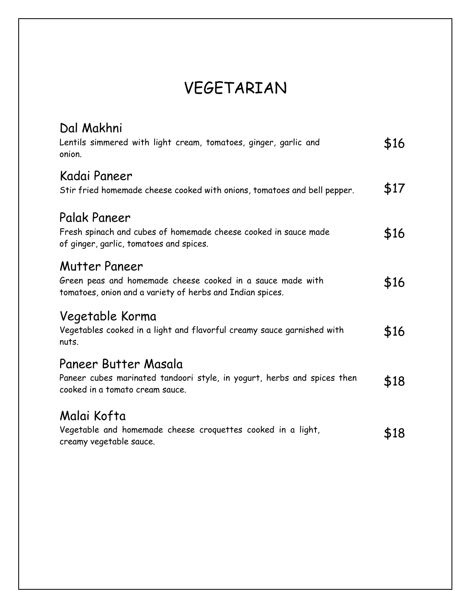### VEGETARIAN

| Dal Makhni<br>Lentils simmered with light cream, tomatoes, ginger, garlic and<br>onion.                                                  | \$16 |
|------------------------------------------------------------------------------------------------------------------------------------------|------|
| Kadai Paneer<br>Stir fried homemade cheese cooked with onions, tomatoes and bell pepper.                                                 | \$17 |
| Palak Paneer<br>Fresh spinach and cubes of homemade cheese cooked in sauce made<br>of ginger, garlic, tomatoes and spices.               | \$16 |
| Mutter Paneer<br>Green peas and homemade cheese cooked in a sauce made with<br>tomatoes, onion and a variety of herbs and Indian spices. | \$16 |
| Vegetable Korma<br>Vegetables cooked in a light and flavorful creamy sauce garnished with<br>nuts.                                       | \$16 |
| Paneer Butter Masala<br>Paneer cubes marinated tandoori style, in yogurt, herbs and spices then<br>cooked in a tomato cream sauce.       | \$18 |
| Malai Kofta<br>Vegetable and homemade cheese croquettes cooked in a light,<br>creamy vegetable sauce.                                    | \$18 |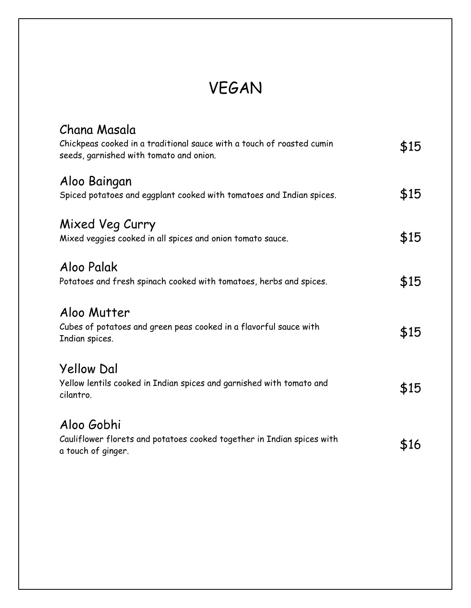# VEGAN

| Chana Masala<br>Chickpeas cooked in a traditional sauce with a touch of roasted cumin<br>seeds, garnished with tomato and onion. | \$15 |
|----------------------------------------------------------------------------------------------------------------------------------|------|
| Aloo Baingan<br>Spiced potatoes and eggplant cooked with tomatoes and Indian spices.                                             | \$15 |
| Mixed Veg Curry<br>Mixed veggies cooked in all spices and onion tomato sauce.                                                    | \$15 |
| Aloo Palak<br>Potatoes and fresh spinach cooked with tomatoes, herbs and spices.                                                 | \$15 |
| Aloo Mutter<br>Cubes of potatoes and green peas cooked in a flavorful sauce with<br>Indian spices.                               | \$15 |
| <b>Yellow Dal</b><br>Yellow lentils cooked in Indian spices and garnished with tomato and<br>cilantro.                           | \$15 |
| Aloo Gobhi<br>Cauliflower florets and potatoes cooked together in Indian spices with<br>a touch of ginger.                       | \$16 |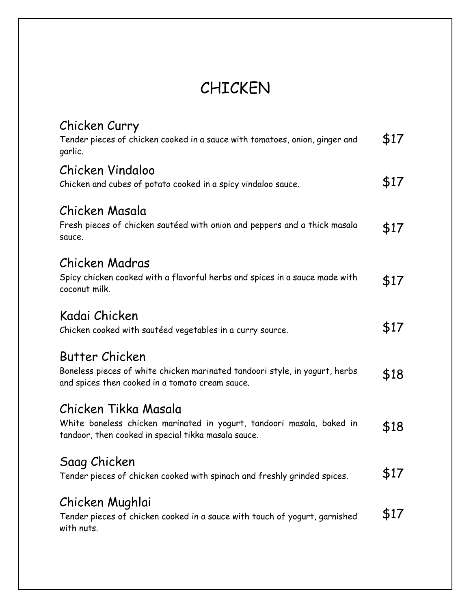## CHICKEN

| Chicken Curry<br>Tender pieces of chicken cooked in a sauce with tomatoes, onion, ginger and<br>garlic.                                              | \$17 |
|------------------------------------------------------------------------------------------------------------------------------------------------------|------|
| Chicken Vindaloo<br>Chicken and cubes of potato cooked in a spicy vindaloo sauce.                                                                    | \$17 |
| Chicken Masala<br>Fresh pieces of chicken sautéed with onion and peppers and a thick masala<br>sauce.                                                | \$17 |
| Chicken Madras<br>Spicy chicken cooked with a flavorful herbs and spices in a sauce made with<br>coconut milk.                                       | \$17 |
| Kadai Chicken<br>Chicken cooked with sautéed vegetables in a curry source.                                                                           | \$17 |
| Butter Chicken<br>Boneless pieces of white chicken marinated tandoori style, in yogurt, herbs<br>and spices then cooked in a tomato cream sauce.     | \$18 |
| Chicken Tikka Masala<br>White boneless chicken marinated in yogurt, tandoori masala, baked in<br>tandoor, then cooked in special tikka masala sauce. | \$18 |
| Saag Chicken<br>Tender pieces of chicken cooked with spinach and freshly grinded spices.                                                             | \$17 |
| Chicken Mughlai<br>Tender pieces of chicken cooked in a sauce with touch of yogurt, garnished<br>with nuts.                                          | \$17 |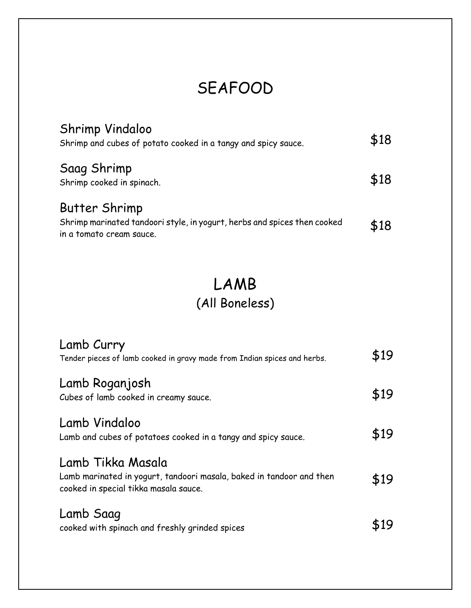### SEAFOOD

| Shrimp Vindaloo<br>Shrimp and cubes of potato cooked in a tangy and spicy sauce.                                             | \$18 |
|------------------------------------------------------------------------------------------------------------------------------|------|
| Saag Shrimp<br>Shrimp cooked in spinach.                                                                                     | \$18 |
| <b>Butter Shrimp</b><br>Shrimp marinated tandoori style, in yogurt, herbs and spices then cooked<br>in a tomato cream sauce. | \$18 |

#### LAMB (All Boneless)

| Lamb Curry<br>Tender pieces of lamb cooked in gravy made from Indian spices and herbs.                                             | \$19 |
|------------------------------------------------------------------------------------------------------------------------------------|------|
| Lamb Roganjosh<br>Cubes of lamb cooked in creamy sauce.                                                                            | \$19 |
| Lamb Vindaloo<br>Lamb and cubes of potatoes cooked in a tangy and spicy sauce.                                                     | \$19 |
| Lamb Tikka Masala<br>Lamb marinated in yogurt, tandoori masala, baked in tandoor and then<br>cooked in special tikka masala sauce. | \$19 |
| Lamb Saag<br>cooked with spinach and freshly grinded spices                                                                        |      |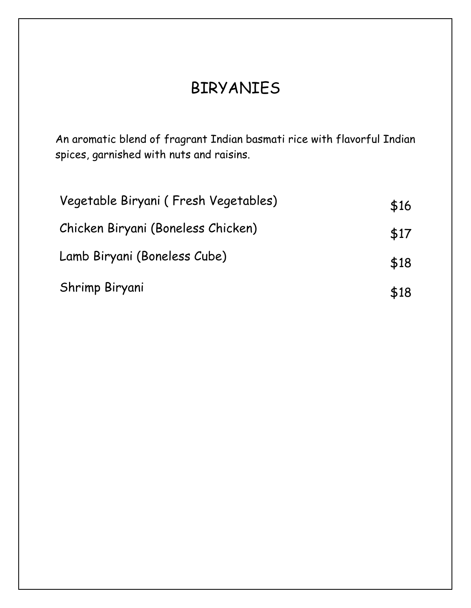#### BIRYANIES

An aromatic blend of fragrant Indian basmati rice with flavorful Indian spices, garnished with nuts and raisins.

| Vegetable Biryani (Fresh Vegetables) | \$16 |
|--------------------------------------|------|
| Chicken Biryani (Boneless Chicken)   | \$17 |
| Lamb Biryani (Boneless Cube)         | \$18 |
| Shrimp Biryani                       | \$18 |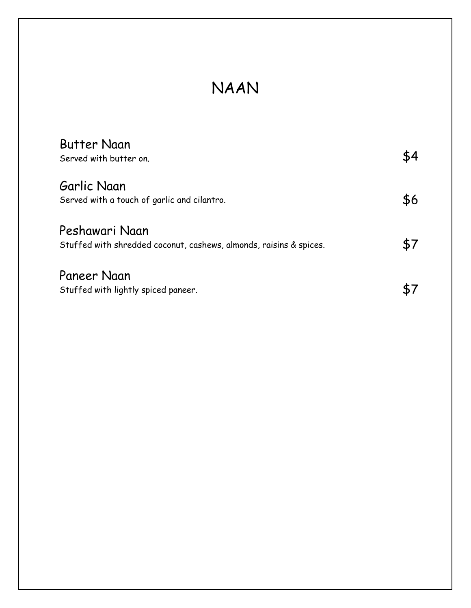#### NAAN

| <b>Butter Naan</b>                                                 |     |
|--------------------------------------------------------------------|-----|
| Served with butter on.                                             | \$4 |
| Garlic Naan                                                        |     |
| Served with a touch of garlic and cilantro.                        | \$6 |
| Peshawari Naan                                                     |     |
| Stuffed with shredded coconut, cashews, almonds, raisins & spices. |     |
| Paneer Naan                                                        |     |
| Stuffed with lightly spiced paneer.                                |     |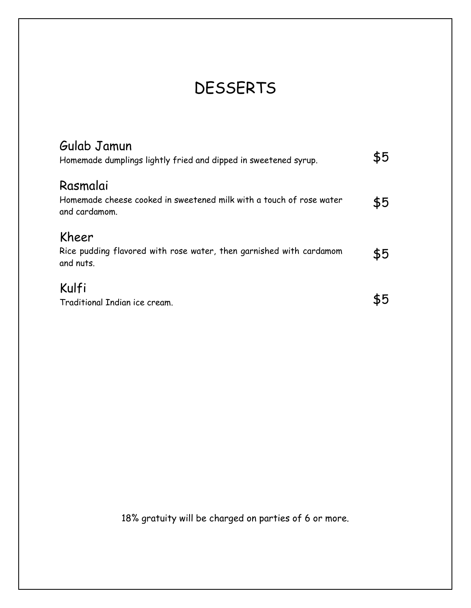# **DESSERTS**

| Gulab Jamun<br>Homemade dumplings lightly fried and dipped in sweetened syrup.                   | \$5 |
|--------------------------------------------------------------------------------------------------|-----|
| Rasmalai<br>Homemade cheese cooked in sweetened milk with a touch of rose water<br>and cardamom. | \$5 |
| Kheer<br>Rice pudding flavored with rose water, then garnished with cardamom<br>and nuts.        | \$5 |
| Kulfi<br>Traditional Indian ice cream.                                                           |     |

18% gratuity will be charged on parties of 6 or more.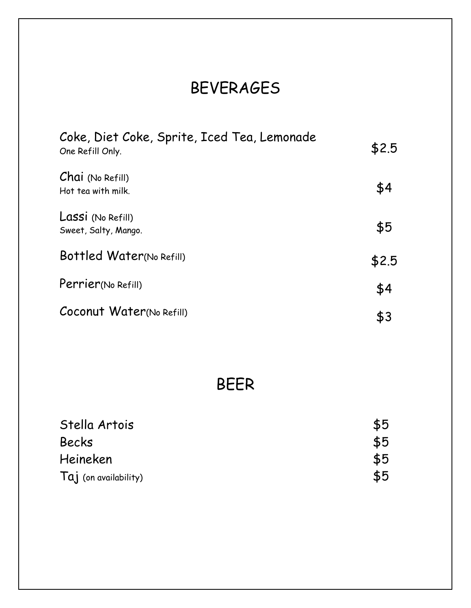### BEVERAGES

| Coke, Diet Coke, Sprite, Iced Tea, Lemonade<br>One Refill Only. | \$2.5 |
|-----------------------------------------------------------------|-------|
| Chai (No Refill)<br>Hot tea with milk.                          | \$4   |
| Lassi (No Refill)<br>Sweet, Salty, Mango.                       | \$5   |
| Bottled Water(No Refill)                                        | \$2.5 |
| Perrier(No Refill)                                              | \$4   |
| Coconut Water(No Refill)                                        | \$3   |

#### BEER

| Stella Artois           | \$5 |
|-------------------------|-----|
| <b>Becks</b>            | \$5 |
| Heineken                | \$5 |
| $Taj$ (on availability) | \$5 |